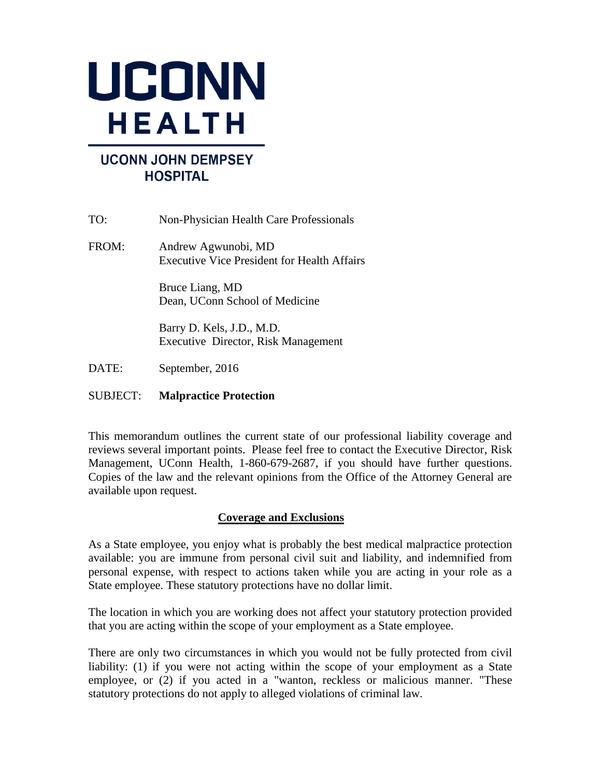

# **UCONN JOHN DEMPSEY HOSPITAL**

| TO:   | Non-Physician Health Care Professionals                                   |
|-------|---------------------------------------------------------------------------|
| FROM: | Andrew Agwunobi, MD<br><b>Executive Vice President for Health Affairs</b> |
|       | Bruce Liang, MD<br>Dean, UConn School of Medicine                         |
|       | Barry D. Kels, J.D., M.D.<br>Executive Director, Risk Management          |
| DATE: | September, 2016                                                           |

# SUBJECT: **Malpractice Protection**

This memorandum outlines the current state of our professional liability coverage and reviews several important points. Please feel free to contact the Executive Director, Risk Management, UConn Health, 1-860-679-2687, if you should have further questions. Copies of the law and the relevant opinions from the Office of the Attorney General are available upon request.

# **Coverage and Exclusions**

As a State employee, you enjoy what is probably the best medical malpractice protection available: you are immune from personal civil suit and liability, and indemnified from personal expense, with respect to actions taken while you are acting in your role as a State employee. These statutory protections have no dollar limit.

The location in which you are working does not affect your statutory protection provided that you are acting within the scope of your employment as a State employee.

There are only two circumstances in which you would not be fully protected from civil liability: (1) if you were not acting within the scope of your employment as a State employee, or (2) if you acted in a "wanton, reckless or malicious manner. "These statutory protections do not apply to alleged violations of criminal law.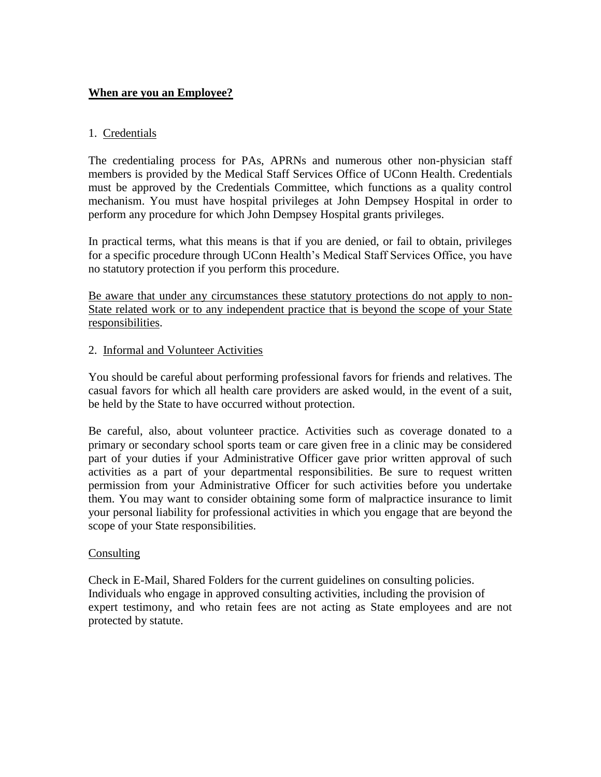# **When are you an Employee?**

## 1. Credentials

The credentialing process for PAs, APRNs and numerous other non-physician staff members is provided by the Medical Staff Services Office of UConn Health. Credentials must be approved by the Credentials Committee, which functions as a quality control mechanism. You must have hospital privileges at John Dempsey Hospital in order to perform any procedure for which John Dempsey Hospital grants privileges.

In practical terms, what this means is that if you are denied, or fail to obtain, privileges for a specific procedure through UConn Health's Medical Staff Services Office, you have no statutory protection if you perform this procedure.

Be aware that under any circumstances these statutory protections do not apply to non-State related work or to any independent practice that is beyond the scope of your State responsibilities.

#### 2. Informal and Volunteer Activities

You should be careful about performing professional favors for friends and relatives. The casual favors for which all health care providers are asked would, in the event of a suit, be held by the State to have occurred without protection.

Be careful, also, about volunteer practice. Activities such as coverage donated to a primary or secondary school sports team or care given free in a clinic may be considered part of your duties if your Administrative Officer gave prior written approval of such activities as a part of your departmental responsibilities. Be sure to request written permission from your Administrative Officer for such activities before you undertake them. You may want to consider obtaining some form of malpractice insurance to limit your personal liability for professional activities in which you engage that are beyond the scope of your State responsibilities.

#### **Consulting**

Check in E-Mail, Shared Folders for the current guidelines on consulting policies. Individuals who engage in approved consulting activities, including the provision of expert testimony, and who retain fees are not acting as State employees and are not protected by statute.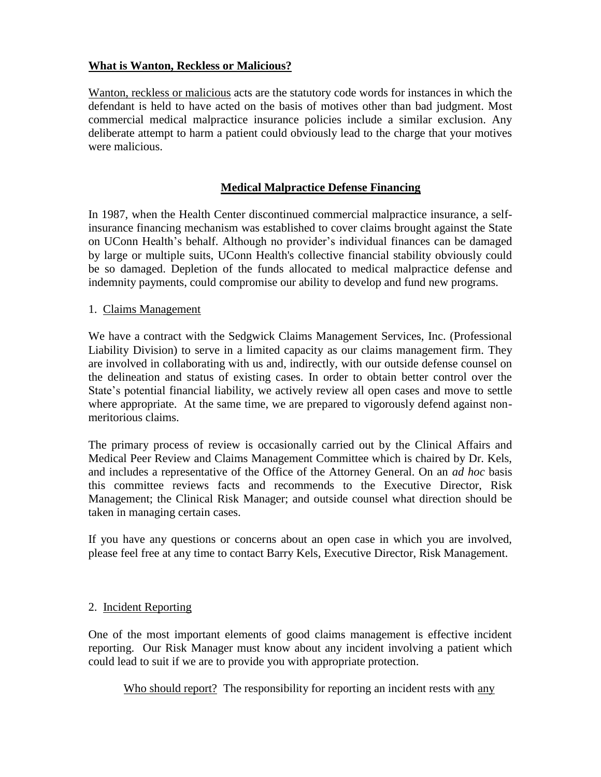## **What is Wanton, Reckless or Malicious?**

Wanton, reckless or malicious acts are the statutory code words for instances in which the defendant is held to have acted on the basis of motives other than bad judgment. Most commercial medical malpractice insurance policies include a similar exclusion. Any deliberate attempt to harm a patient could obviously lead to the charge that your motives were malicious.

## **Medical Malpractice Defense Financing**

In 1987, when the Health Center discontinued commercial malpractice insurance, a selfinsurance financing mechanism was established to cover claims brought against the State on UConn Health's behalf. Although no provider's individual finances can be damaged by large or multiple suits, UConn Health's collective financial stability obviously could be so damaged. Depletion of the funds allocated to medical malpractice defense and indemnity payments, could compromise our ability to develop and fund new programs.

#### 1. Claims Management

We have a contract with the Sedgwick Claims Management Services, Inc. (Professional Liability Division) to serve in a limited capacity as our claims management firm. They are involved in collaborating with us and, indirectly, with our outside defense counsel on the delineation and status of existing cases. In order to obtain better control over the State's potential financial liability, we actively review all open cases and move to settle where appropriate. At the same time, we are prepared to vigorously defend against nonmeritorious claims.

The primary process of review is occasionally carried out by the Clinical Affairs and Medical Peer Review and Claims Management Committee which is chaired by Dr. Kels, and includes a representative of the Office of the Attorney General. On an *ad hoc* basis this committee reviews facts and recommends to the Executive Director, Risk Management; the Clinical Risk Manager; and outside counsel what direction should be taken in managing certain cases.

If you have any questions or concerns about an open case in which you are involved, please feel free at any time to contact Barry Kels, Executive Director, Risk Management.

#### 2. Incident Reporting

One of the most important elements of good claims management is effective incident reporting. Our Risk Manager must know about any incident involving a patient which could lead to suit if we are to provide you with appropriate protection.

Who should report? The responsibility for reporting an incident rests with any